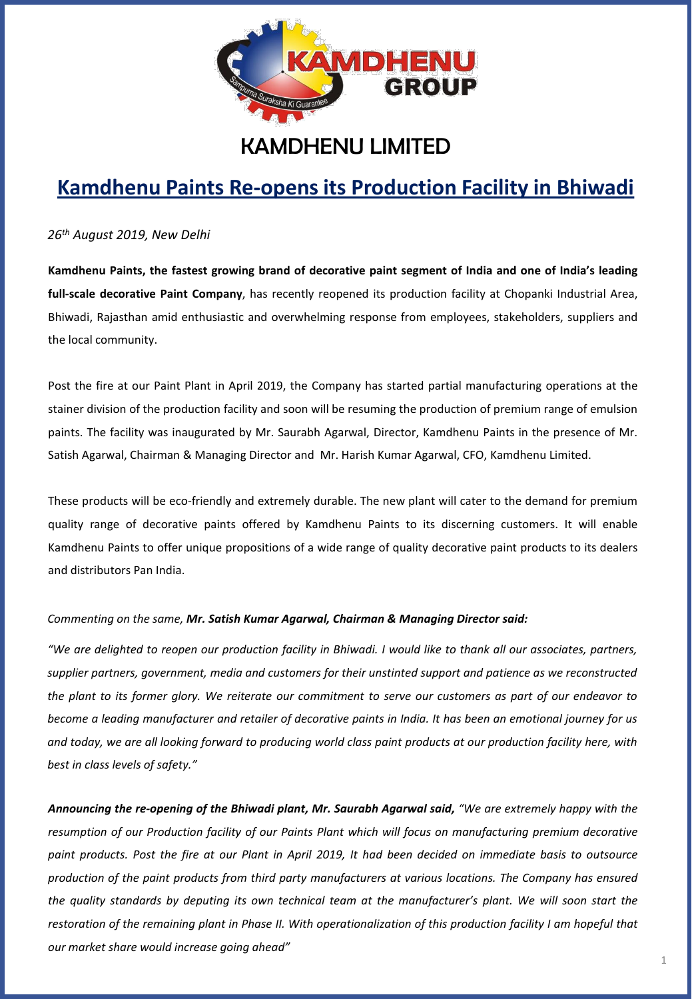

## KAMDHENU LIMITED

# **Kamdhenu Paints Re-opens its Production Facility in Bhiwadi**

*26th August 2019, New Delhi*

Kamdhenu Paints, the fastest growing brand of decorative paint segment of India and one of India's leading **full-scale decorative Paint Company**, has recently reopened its production facility at Chopanki Industrial Area, Bhiwadi, Rajasthan amid enthusiastic and overwhelming response from employees, stakeholders, suppliers and the local community.

Post the fire at our Paint Plant in April 2019, the Company has started partial manufacturing operations at the stainer division of the production facility and soon will be resuming the production of premium range of emulsion paints. The facility was inaugurated by Mr. Saurabh Agarwal, Director, Kamdhenu Paints in the presence of Mr. Satish Agarwal, Chairman & Managing Director and Mr. Harish Kumar Agarwal, CFO, Kamdhenu Limited.

These products will be eco-friendly and extremely durable. The new plant will cater to the demand for premium quality range of decorative paints offered by Kamdhenu Paints to its discerning customers. It will enable Kamdhenu Paints to offer unique propositions of a wide range of quality decorative paint products to its dealers and distributors Pan India.

### *Commenting on the same, Mr. Satish Kumar Agarwal, Chairman & Managing Director said:*

"We are delighted to reopen our production facility in Bhiwadi. I would like to thank all our associates, partners, *supplier partners, government, media and customers for their unstinted support and patience as we reconstructed* the plant to its former glory. We reiterate our commitment to serve our customers as part of our endeavor to become a leading manufacturer and retailer of decorative paints in India. It has been an emotional journey for us and today, we are all looking forward to producing world class paint products at our production facility here, with *best in class levels of safety."*

Announcing the re-opening of the Bhiwadi plant, Mr. Saurabh Agarwal said, "We are extremely happy with the *resumption of our Production facility of our Paints Plant which will focus on manufacturing premium decorative* paint products. Post the fire at our Plant in April 2019, It had been decided on immediate basis to outsource *production of the paint products from third party manufacturers at various locations. The Company has ensured* the quality standards by deputing its own technical team at the manufacturer's plant. We will soon start the restoration of the remaining plant in Phase II. With operationalization of this production facility I am hopeful that *our market share would increase going ahead"*